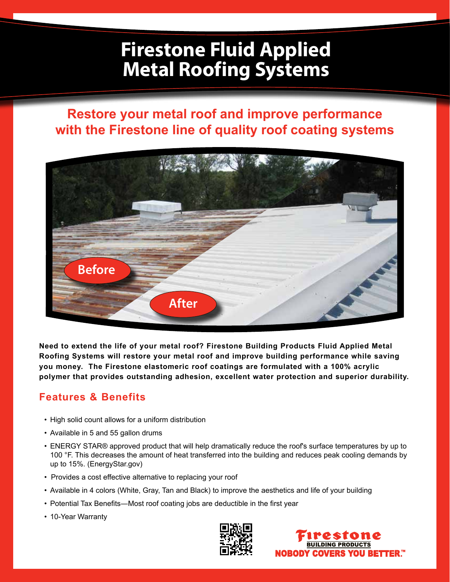# **Firestone Fluid Applied Metal Roofing Systems**

## **Restore your metal roof and improve performance with the Firestone line of quality roof coating systems**



**Need to extend the life of your metal roof? Firestone Building Products Fluid Applied Metal Roofing Systems will restore your metal roof and improve building performance while saving you money. The Firestone elastomeric roof coatings are formulated with a 100% acrylic polymer that provides outstanding adhesion, excellent water protection and superior durability.**

### **Features & Benefits**

- High solid count allows for a uniform distribution
- Available in 5 and 55 gallon drums
- ENERGY STAR® approved product that will help dramatically reduce the roof's surface temperatures by up to 100 °F. This decreases the amount of heat transferred into the building and reduces peak cooling demands by up to 15%. (EnergyStar.gov)
- Provides a cost effective alternative to replacing your roof
- • Available in 4 colors (White, Gray, Tan and Black) to improve the aesthetics and life of your building
- Potential Tax Benefits—Most roof coating jobs are deductible in the first year
- 10-Year Warranty